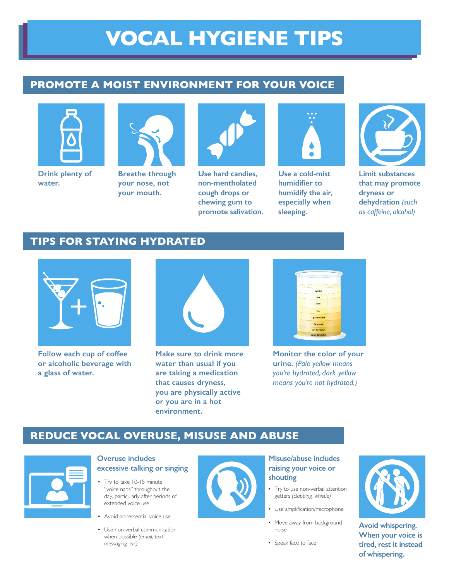# **VOCAL HYGIENE TIPS**

# **PROMOTE A MOIST ENVIRONMENT FOR YOUR VOICE**



**Drink plenty of water.**



**Breathe through your nose, not your mouth.**



**Use hard candies, non-mentholated cough drops or chewing gum to promote salivation.**



**Use a cold-mist humidifier to humidify the air, especially when sleeping.**



**Limit substances that may promote dryness or dehydration** *(such as caffeine, alcohol)*

# **TIPS FOR STAYING HYDRATED**



**Follow each cup of coffee or alcoholic beverage with a glass of water.**



**Make sure to drink more water than usual if you are taking a medication that causes dryness, you are physically active or you are in a hot environment.**



**Monitor the color of your urine.** *(Pale yellow means you're hydrated, dark yellow means you're not hydrated.)*

# **REDUCE VOCAL OVERUSE, MISUSE AND ABUSE**



#### **Overuse includes excessive talking or singing**

- Try to take 10-15 minute "voice naps" throughout the day, particularly after periods of extended voice use
- Avoid nonessential voice use
- Use non-verbal communication when possible *(email, text messaging, etc)*



## **Misuse/abuse includes raising your voice or shouting**

- Try to use non-verbal attention getters *(clapping, whistle)*
- Use amplification/microphone
- Move away from background noise
- Speak face to face



**Avoid whispering. When your voice is tired, rest it instead of whispering.**